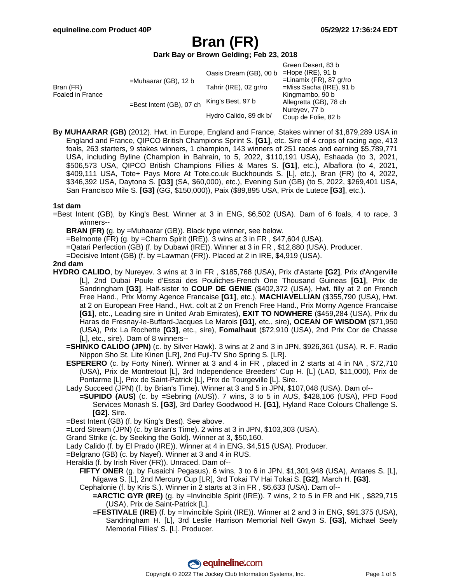### **Dark Bay or Brown Gelding; Feb 23, 2018**

|                               |                          |                        | Green Desert, 83 b         |
|-------------------------------|--------------------------|------------------------|----------------------------|
| Bran (FR)<br>Foaled in France | $=$ Muhaarar (GB), 12 b  | Oasis Dream (GB), 00 b | $=$ Hope (IRE), 91 b       |
|                               |                          |                        | $=$ Linamix (FR), 87 gr/ro |
|                               |                          | Tahrir (IRE), 02 gr/ro | $=$ Miss Sacha (IRE), 91 b |
|                               | =Best Intent (GB), 07 ch |                        | Kingmambo, 90 b            |
|                               |                          | King's Best, 97 b      | Allegretta (GB), 78 ch     |
|                               |                          |                        | Nureyev, 77 b              |
|                               |                          |                        | Coup de Folie, 82 b        |
|                               |                          | Hydro Calido, 89 dk b/ |                            |

**By MUHAARAR (GB)** (2012). Hwt. in Europe, England and France, Stakes winner of \$1,879,289 USA in England and France, QIPCO British Champions Sprint S. **[G1]**, etc. Sire of 4 crops of racing age, 413 foals, 263 starters, 9 stakes winners, 1 champion, 143 winners of 251 races and earning \$5,789,771 USA, including Byline (Champion in Bahrain, to 5, 2022, \$110,191 USA), Eshaada (to 3, 2021, \$506,573 USA, QIPCO British Champions Fillies & Mares S. **[G1]**, etc.), Albaflora (to 4, 2021, \$409,111 USA, Tote+ Pays More At Tote.co.uk Buckhounds S. [L], etc.), Bran (FR) (to 4, 2022, \$346,392 USA, Daytona S. **[G3]** (SA, \$60,000), etc.), Evening Sun (GB) (to 5, 2022, \$269,401 USA, San Francisco Mile S. **[G3]** (GG, \$150,000)), Paix (\$89,895 USA, Prix de Lutece **[G3]**, etc.).

### **1st dam**

- =Best Intent (GB), by King's Best. Winner at 3 in ENG, \$6,502 (USA). Dam of 6 foals, 4 to race, 3 winners--
	- **BRAN (FR)** (g. by =Muhaarar (GB)). Black type winner, see below.
	- =Belmonte (FR) (g. by =Charm Spirit (IRE)). 3 wins at 3 in FR , \$47,604 (USA).
	- =Qatari Perfection (GB) (f. by Dubawi (IRE)). Winner at 3 in FR , \$12,880 (USA). Producer.
	- =Decisive Intent (GB) (f. by =Lawman (FR)). Placed at 2 in IRE, \$4,919 (USA).

### **2nd dam**

- **HYDRO CALIDO**, by Nureyev. 3 wins at 3 in FR , \$185,768 (USA), Prix d'Astarte **[G2]**, Prix d'Angerville [L], 2nd Dubai Poule d'Essai des Pouliches-French One Thousand Guineas **[G1]**, Prix de Sandringham **[G3]**. Half-sister to **COUP DE GENIE** (\$402,372 (USA), Hwt. filly at 2 on French Free Hand., Prix Morny Agence Francaise **[G1]**, etc.), **MACHIAVELLIAN** (\$355,790 (USA), Hwt. at 2 on European Free Hand., Hwt. colt at 2 on French Free Hand., Prix Morny Agence Francaise **[G1]**, etc., Leading sire in United Arab Emirates), **EXIT TO NOWHERE** (\$459,284 (USA), Prix du Haras de Fresnay-le-Buffard-Jacques Le Marois **[G1]**, etc., sire), **OCEAN OF WISDOM** (\$71,950 (USA), Prix La Rochette **[G3]**, etc., sire), **Fomalhaut** (\$72,910 (USA), 2nd Prix Cor de Chasse [L], etc., sire). Dam of 8 winners--
	- **=SHINKO CALIDO (JPN)** (c. by Silver Hawk). 3 wins at 2 and 3 in JPN, \$926,361 (USA), R. F. Radio Nippon Sho St. Lite Kinen [LR], 2nd Fuji-TV Sho Spring S. [LR].
	- **ESPERERO** (c. by Forty Niner). Winner at 3 and 4 in FR , placed in 2 starts at 4 in NA , \$72,710 (USA), Prix de Montretout [L], 3rd Independence Breeders' Cup H. [L] (LAD, \$11,000), Prix de Pontarme [L], Prix de Saint-Patrick [L], Prix de Tourgeville [L]. Sire.
	- Lady Succeed (JPN) (f. by Brian's Time). Winner at 3 and 5 in JPN, \$107,048 (USA). Dam of--
		- **=SUPIDO (AUS)** (c. by =Sebring (AUS)). 7 wins, 3 to 5 in AUS, \$428,106 (USA), PFD Food Services Monash S. **[G3]**, 3rd Darley Goodwood H. **[G1]**, Hyland Race Colours Challenge S. **[G2]**. Sire.
	- =Best Intent (GB) (f. by King's Best). See above.

=Lord Stream (JPN) (c. by Brian's Time). 2 wins at 3 in JPN, \$103,303 (USA).

- Grand Strike (c. by Seeking the Gold). Winner at 3, \$50,160.
- Lady Calido (f. by El Prado (IRE)). Winner at 4 in ENG, \$4,515 (USA). Producer.
- =Belgrano (GB) (c. by Nayef). Winner at 3 and 4 in RUS.
- Heraklia (f. by Irish River (FR)). Unraced. Dam of--
	- **FIFTY ONER** (g. by Fusaichi Pegasus). 6 wins, 3 to 6 in JPN, \$1,301,948 (USA), Antares S. [L], Nigawa S. [L], 2nd Mercury Cup [LR], 3rd Tokai TV Hai Tokai S. **[G2]**, March H. **[G3]**.

Cephalonie (f. by Kris S.). Winner in 2 starts at 3 in FR , \$6,633 (USA). Dam of--

- **=ARCTIC GYR (IRE)** (g. by =Invincible Spirit (IRE)). 7 wins, 2 to 5 in FR and HK , \$829,715 (USA), Prix de Saint-Patrick [L].
- **=FESTIVALE (IRE)** (f. by =Invincible Spirit (IRE)). Winner at 2 and 3 in ENG, \$91,375 (USA), Sandringham H. [L], 3rd Leslie Harrison Memorial Nell Gwyn S. **[G3]**, Michael Seely Memorial Fillies' S. [L]. Producer.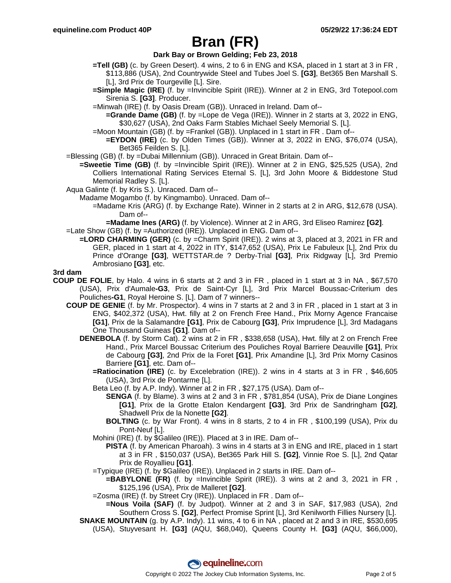### **Dark Bay or Brown Gelding; Feb 23, 2018**

- **=Tell (GB)** (c. by Green Desert). 4 wins, 2 to 6 in ENG and KSA, placed in 1 start at 3 in FR , \$113,886 (USA), 2nd Countrywide Steel and Tubes Joel S. **[G3]**, Bet365 Ben Marshall S. [L], 3rd Prix de Tourgeville [L]. Sire.
- **=Simple Magic (IRE)** (f. by =Invincible Spirit (IRE)). Winner at 2 in ENG, 3rd Totepool.com Sirenia S. **[G3]**. Producer.
- =Minwah (IRE) (f. by Oasis Dream (GB)). Unraced in Ireland. Dam of--
	- **=Grande Dame (GB)** (f. by =Lope de Vega (IRE)). Winner in 2 starts at 3, 2022 in ENG, \$30,627 (USA), 2nd Oaks Farm Stables Michael Seely Memorial S. [L].
- =Moon Mountain (GB) (f. by =Frankel (GB)). Unplaced in 1 start in FR . Dam of--
	- **=EYDON (IRE)** (c. by Olden Times (GB)). Winner at 3, 2022 in ENG, \$76,074 (USA), Bet365 Feilden S. [L].
- =Blessing (GB) (f. by =Dubai Millennium (GB)). Unraced in Great Britain. Dam of--
	- **=Sweetie Time (GB)** (f. by =Invincible Spirit (IRE)). Winner at 2 in ENG, \$25,525 (USA), 2nd Colliers International Rating Services Eternal S. [L], 3rd John Moore & Biddestone Stud Memorial Radley S. [L].
- Aqua Galinte (f. by Kris S.). Unraced. Dam of--
	- Madame Mogambo (f. by Kingmambo). Unraced. Dam of--
		- =Madame Kris (ARG) (f. by Exchange Rate). Winner in 2 starts at 2 in ARG, \$12,678 (USA). Dam of--

**=Madame Ines (ARG)** (f. by Violence). Winner at 2 in ARG, 3rd Eliseo Ramirez **[G2]**. =Late Show (GB) (f. by =Authorized (IRE)). Unplaced in ENG. Dam of--

**=LORD CHARMING (GER)** (c. by =Charm Spirit (IRE)). 2 wins at 3, placed at 3, 2021 in FR and GER, placed in 1 start at 4, 2022 in ITY, \$147,652 (USA), Prix Le Fabuleux [L], 2nd Prix du Prince d'Orange **[G3]**, WETTSTAR.de ? Derby-Trial **[G3]**, Prix Ridgway [L], 3rd Premio Ambrosiano **[G3]**, etc.

### **3rd dam**

- **COUP DE FOLIE**, by Halo. 4 wins in 6 starts at 2 and 3 in FR , placed in 1 start at 3 in NA , \$67,570 (USA), Prix d'Aumale**-G3**, Prix de Saint-Cyr [L], 3rd Prix Marcel Boussac-Criterium des Pouliches**-G1**, Royal Heroine S. [L]. Dam of 7 winners--
	- **COUP DE GENIE** (f. by Mr. Prospector). 4 wins in 7 starts at 2 and 3 in FR , placed in 1 start at 3 in ENG, \$402,372 (USA), Hwt. filly at 2 on French Free Hand., Prix Morny Agence Francaise **[G1]**, Prix de la Salamandre **[G1]**, Prix de Cabourg **[G3]**, Prix Imprudence [L], 3rd Madagans One Thousand Guineas **[G1]**. Dam of--
		- **DENEBOLA** (f. by Storm Cat). 2 wins at 2 in FR , \$338,658 (USA), Hwt. filly at 2 on French Free Hand., Prix Marcel Boussac Criterium des Pouliches Royal Barriere Deauville **[G1]**, Prix de Cabourg **[G3]**, 2nd Prix de la Foret **[G1]**, Prix Amandine [L], 3rd Prix Morny Casinos Barriere **[G1]**, etc. Dam of--
			- **=Ratiocination (IRE)** (c. by Excelebration (IRE)). 2 wins in 4 starts at 3 in FR , \$46,605 (USA), 3rd Prix de Pontarme [L].
			- Beta Leo (f. by A.P. Indy). Winner at 2 in FR , \$27,175 (USA). Dam of--
				- **SENGA** (f. by Blame). 3 wins at 2 and 3 in FR , \$781,854 (USA), Prix de Diane Longines **[G1]**, Prix de la Grotte Etalon Kendargent **[G3]**, 3rd Prix de Sandringham **[G2]**, Shadwell Prix de la Nonette **[G2]**.
				- **BOLTING** (c. by War Front). 4 wins in 8 starts, 2 to 4 in FR , \$100,199 (USA), Prix du Pont-Neuf [L].
			- Mohini (IRE) (f. by \$Galileo (IRE)). Placed at 3 in IRE. Dam of--
				- **PISTA** (f. by American Pharoah). 3 wins in 4 starts at 3 in ENG and IRE, placed in 1 start at 3 in FR , \$150,037 (USA), Bet365 Park Hill S. **[G2]**, Vinnie Roe S. [L], 2nd Qatar Prix de Royallieu **[G1]**.
			- =Typique (IRE) (f. by \$Galileo (IRE)). Unplaced in 2 starts in IRE. Dam of--
				- **=BABYLONE (FR)** (f. by =Invincible Spirit (IRE)). 3 wins at 2 and 3, 2021 in FR , \$125,196 (USA), Prix de Malleret **[G2]**.
			- =Zosma (IRE) (f. by Street Cry (IRE)). Unplaced in FR . Dam of--

**=Nous Voila (SAF)** (f. by Judpot). Winner at 2 and 3 in SAF, \$17,983 (USA), 2nd Southern Cross S. **[G2]**, Perfect Promise Sprint [L], 3rd Kenilworth Fillies Nursery [L].

**SNAKE MOUNTAIN** (g. by A.P. Indy). 11 wins, 4 to 6 in NA, placed at 2 and 3 in IRE, \$530,695 (USA), Stuyvesant H. **[G3]** (AQU, \$68,040), Queens County H. **[G3]** (AQU, \$66,000),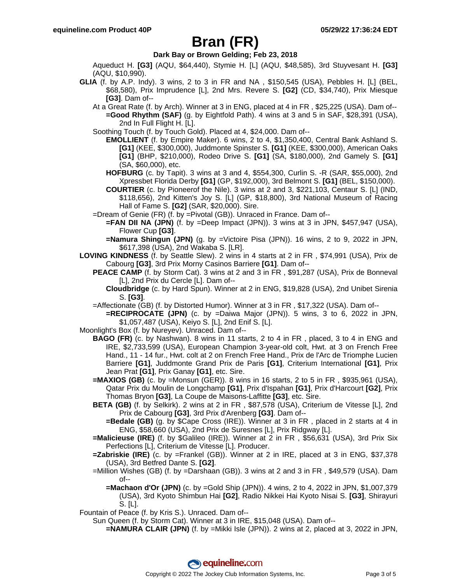### **Dark Bay or Brown Gelding; Feb 23, 2018**

Aqueduct H. **[G3]** (AQU, \$64,440), Stymie H. [L] (AQU, \$48,585), 3rd Stuyvesant H. **[G3]** (AQU, \$10,990).

- **GLIA** (f. by A.P. Indy). 3 wins, 2 to 3 in FR and NA , \$150,545 (USA), Pebbles H. [L] (BEL, \$68,580), Prix Imprudence [L], 2nd Mrs. Revere S. **[G2]** (CD, \$34,740), Prix Miesque **[G3]**. Dam of--
	- At a Great Rate (f. by Arch). Winner at 3 in ENG, placed at 4 in FR , \$25,225 (USA). Dam of-- **=Good Rhythm (SAF)** (g. by Eightfold Path). 4 wins at 3 and 5 in SAF, \$28,391 (USA), 2nd In Full Flight H. [L].

Soothing Touch (f. by Touch Gold). Placed at 4, \$24,000. Dam of--

- **EMOLLIENT** (f. by Empire Maker). 6 wins, 2 to 4, \$1,350,400, Central Bank Ashland S. **[G1]** (KEE, \$300,000), Juddmonte Spinster S. **[G1]** (KEE, \$300,000), American Oaks **[G1]** (BHP, \$210,000), Rodeo Drive S. **[G1]** (SA, \$180,000), 2nd Gamely S. **[G1]** (SA, \$60,000), etc.
- **HOFBURG** (c. by Tapit). 3 wins at 3 and 4, \$554,300, Curlin S. -R (SAR, \$55,000), 2nd Xpressbet Florida Derby **[G1]** (GP, \$192,000), 3rd Belmont S. **[G1]** (BEL, \$150,000).
- **COURTIER** (c. by Pioneerof the Nile). 3 wins at 2 and 3, \$221,103, Centaur S. [L] (IND, \$118,656), 2nd Kitten's Joy S. [L] (GP, \$18,800), 3rd National Museum of Racing Hall of Fame S. **[G2]** (SAR, \$20,000). Sire.
- =Dream of Genie (FR) (f. by =Pivotal (GB)). Unraced in France. Dam of--
	- **=FAN DII NA (JPN)** (f. by =Deep Impact (JPN)). 3 wins at 3 in JPN, \$457,947 (USA), Flower Cup **[G3]**.
	- **=Namura Shingun (JPN)** (g. by =Victoire Pisa (JPN)). 16 wins, 2 to 9, 2022 in JPN, \$617,398 (USA), 2nd Wakaba S. [LR].
- **LOVING KINDNESS** (f. by Seattle Slew). 2 wins in 4 starts at 2 in FR , \$74,991 (USA), Prix de Cabourg **[G3]**, 3rd Prix Morny Casinos Barriere **[G1]**. Dam of--
	- **PEACE CAMP** (f. by Storm Cat). 3 wins at 2 and 3 in FR , \$91,287 (USA), Prix de Bonneval [L], 2nd Prix du Cercle [L]. Dam of--
		- **Cloudbridge** (c. by Hard Spun). Winner at 2 in ENG, \$19,828 (USA), 2nd Unibet Sirenia S. **[G3]**.
	- =Affectionate (GB) (f. by Distorted Humor). Winner at 3 in FR , \$17,322 (USA). Dam of--

**=RECIPROCATE (JPN)** (c. by =Daiwa Major (JPN)). 5 wins, 3 to 6, 2022 in JPN, \$1,057,487 (USA), Keiyo S. [L], 2nd Enif S. [L].

- Moonlight's Box (f. by Nureyev). Unraced. Dam of--
	- **BAGO (FR)** (c. by Nashwan). 8 wins in 11 starts, 2 to 4 in FR , placed, 3 to 4 in ENG and IRE, \$2,733,599 (USA), European Champion 3-year-old colt, Hwt. at 3 on French Free Hand., 11 - 14 fur., Hwt. colt at 2 on French Free Hand., Prix de l'Arc de Triomphe Lucien Barriere **[G1]**, Juddmonte Grand Prix de Paris **[G1]**, Criterium International **[G1]**, Prix Jean Prat **[G1]**, Prix Ganay **[G1]**, etc. Sire.
		- **=MAXIOS (GB)** (c. by =Monsun (GER)). 8 wins in 16 starts, 2 to 5 in FR , \$935,961 (USA), Qatar Prix du Moulin de Longchamp **[G1]**, Prix d'Ispahan **[G1]**, Prix d'Harcourt **[G2]**, Prix Thomas Bryon **[G3]**, La Coupe de Maisons-Laffitte **[G3]**, etc. Sire.
		- **BETA (GB)** (f. by Selkirk). 2 wins at 2 in FR , \$87,578 (USA), Criterium de Vitesse [L], 2nd Prix de Cabourg **[G3]**, 3rd Prix d'Arenberg **[G3]**. Dam of--
			- **=Bedale (GB)** (g. by \$Cape Cross (IRE)). Winner at 3 in FR , placed in 2 starts at 4 in ENG, \$58,660 (USA), 2nd Prix de Suresnes [L], Prix Ridgway [L].
		- **=Malicieuse (IRE)** (f. by \$Galileo (IRE)). Winner at 2 in FR , \$56,631 (USA), 3rd Prix Six Perfections [L], Criterium de Vitesse [L]. Producer.
		- **=Zabriskie (IRE)** (c. by =Frankel (GB)). Winner at 2 in IRE, placed at 3 in ENG, \$37,378 (USA), 3rd Betfred Dante S. **[G2]**.
		- =Million Wishes (GB) (f. by =Darshaan (GB)). 3 wins at 2 and 3 in FR , \$49,579 (USA). Dam of--
			- **=Machaon d'Or (JPN)** (c. by =Gold Ship (JPN)). 4 wins, 2 to 4, 2022 in JPN, \$1,007,379 (USA), 3rd Kyoto Shimbun Hai **[G2]**, Radio Nikkei Hai Kyoto Nisai S. **[G3]**, Shirayuri S. [L].
- Fountain of Peace (f. by Kris S.). Unraced. Dam of--
	- Sun Queen (f. by Storm Cat). Winner at 3 in IRE, \$15,048 (USA). Dam of--

**=NAMURA CLAIR (JPN)** (f. by =Mikki Isle (JPN)). 2 wins at 2, placed at 3, 2022 in JPN,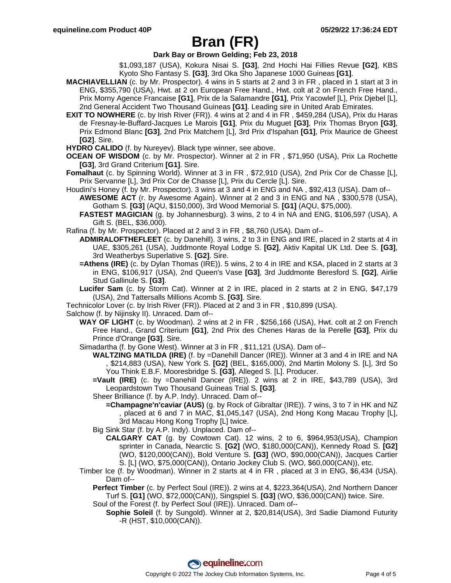### **Dark Bay or Brown Gelding; Feb 23, 2018**

\$1,093,187 (USA), Kokura Nisai S. **[G3]**, 2nd Hochi Hai Fillies Revue **[G2]**, KBS Kyoto Sho Fantasy S. **[G3]**, 3rd Oka Sho Japanese 1000 Guineas **[G1]**.

- **MACHIAVELLIAN** (c. by Mr. Prospector). 4 wins in 5 starts at 2 and 3 in FR , placed in 1 start at 3 in ENG, \$355,790 (USA), Hwt. at 2 on European Free Hand., Hwt. colt at 2 on French Free Hand., Prix Morny Agence Francaise **[G1]**, Prix de la Salamandre **[G1]**, Prix Yacowlef [L], Prix Djebel [L], 2nd General Accident Two Thousand Guineas **[G1]**. Leading sire in United Arab Emirates.
- **EXIT TO NOWHERE** (c. by Irish River (FR)). 4 wins at 2 and 4 in FR, \$459,284 (USA), Prix du Haras de Fresnay-le-Buffard-Jacques Le Marois **[G1]**, Prix du Muguet **[G3]**, Prix Thomas Bryon **[G3]**, Prix Edmond Blanc **[G3]**, 2nd Prix Matchem [L], 3rd Prix d'Ispahan **[G1]**, Prix Maurice de Gheest **[G2]**. Sire.
- **HYDRO CALIDO** (f. by Nureyev). Black type winner, see above.

**OCEAN OF WISDOM** (c. by Mr. Prospector). Winner at 2 in FR , \$71,950 (USA), Prix La Rochette **[G3]**, 3rd Grand Criterium **[G1]**. Sire.

- **Fomalhaut** (c. by Spinning World). Winner at 3 in FR , \$72,910 (USA), 2nd Prix Cor de Chasse [L], Prix Servanne [L], 3rd Prix Cor de Chasse [L], Prix du Cercle [L]. Sire.
- Houdini's Honey (f. by Mr. Prospector). 3 wins at 3 and 4 in ENG and NA , \$92,413 (USA). Dam of--
	- **AWESOME ACT** (r. by Awesome Again). Winner at 2 and 3 in ENG and NA , \$300,578 (USA), Gotham S. **[G3]** (AQU, \$150,000), 3rd Wood Memorial S. **[G1]** (AQU, \$75,000).
	- **FASTEST MAGICIAN** (g. by Johannesburg). 3 wins, 2 to 4 in NA and ENG, \$106,597 (USA), A Gift S. (BEL, \$36,000).
- Rafina (f. by Mr. Prospector). Placed at 2 and 3 in FR , \$8,760 (USA). Dam of--
	- **ADMIRALOFTHEFLEET** (c. by Danehill). 3 wins, 2 to 3 in ENG and IRE, placed in 2 starts at 4 in UAE, \$305,261 (USA), Juddmonte Royal Lodge S. **[G2]**, Aktiv Kapital UK Ltd. Dee S. **[G3]**, 3rd Weatherbys Superlative S. **[G2]**. Sire.
	- **=Athens (IRE)** (c. by Dylan Thomas (IRE)). 5 wins, 2 to 4 in IRE and KSA, placed in 2 starts at 3 in ENG, \$106,917 (USA), 2nd Queen's Vase **[G3]**, 3rd Juddmonte Beresford S. **[G2]**, Airlie Stud Gallinule S. **[G3]**.
	- **Lucifer Sam** (c. by Storm Cat). Winner at 2 in IRE, placed in 2 starts at 2 in ENG, \$47,179 (USA), 2nd Tattersalls Millions Acomb S. **[G3]**. Sire.
- Technicolor Lover (c. by Irish River (FR)). Placed at 2 and 3 in FR , \$10,899 (USA).

Salchow (f. by Nijinsky II). Unraced. Dam of--

- **WAY OF LIGHT** (c. by Woodman). 2 wins at 2 in FR , \$256,166 (USA), Hwt. colt at 2 on French Free Hand., Grand Criterium **[G1]**, 2nd Prix des Chenes Haras de la Perelle **[G3]**, Prix du Prince d'Orange **[G3]**. Sire.
- Simadartha (f. by Gone West). Winner at 3 in FR , \$11,121 (USA). Dam of--
	- **WALTZING MATILDA (IRE)** (f. by =Danehill Dancer (IRE)). Winner at 3 and 4 in IRE and NA , \$214,883 (USA), New York S. **[G2]** (BEL, \$165,000), 2nd Martin Molony S. [L], 3rd So You Think E.B.F. Mooresbridge S. **[G3]**, Alleged S. [L]. Producer.
	- **=Vault (IRE)** (c. by =Danehill Dancer (IRE)). 2 wins at 2 in IRE, \$43,789 (USA), 3rd Leopardstown Two Thousand Guineas Trial S. **[G3]**.
	- Sheer Brilliance (f. by A.P. Indy). Unraced. Dam of--
		- **=Champagne'n'caviar (AUS)** (g. by Rock of Gibraltar (IRE)). 7 wins, 3 to 7 in HK and NZ , placed at 6 and 7 in MAC, \$1,045,147 (USA), 2nd Hong Kong Macau Trophy [L], 3rd Macau Hong Kong Trophy [L] twice.
	- Big Sink Star (f. by A.P. Indy). Unplaced. Dam of--
		- **CALGARY CAT** (g. by Cowtown Cat). 12 wins, 2 to 6, \$964,953(USA), Champion sprinter in Canada, Nearctic S. **[G2]** (WO, \$180,000(CAN)), Kennedy Road S. **[G2]** (WO, \$120,000(CAN)), Bold Venture S. **[G3]** (WO, \$90,000(CAN)), Jacques Cartier S. [L] (WO, \$75,000(CAN)), Ontario Jockey Club S. (WO, \$60,000(CAN)), etc.
- Timber Ice (f. by Woodman). Winner in 2 starts at 4 in FR , placed at 3 in ENG, \$6,434 (USA). Dam of--
	- **Perfect Timber** (c. by Perfect Soul (IRE)). 2 wins at 4, \$223,364(USA), 2nd Northern Dancer Turf S. **[G1]** (WO, \$72,000(CAN)), Singspiel S. **[G3]** (WO, \$36,000(CAN)) twice. Sire. Soul of the Forest (f. by Perfect Soul (IRE)). Unraced. Dam of--
		- **Sophie Soleil** (f. by Sungold). Winner at 2, \$20,814(USA), 3rd Sadie Diamond Futurity -R (HST, \$10,000(CAN)).